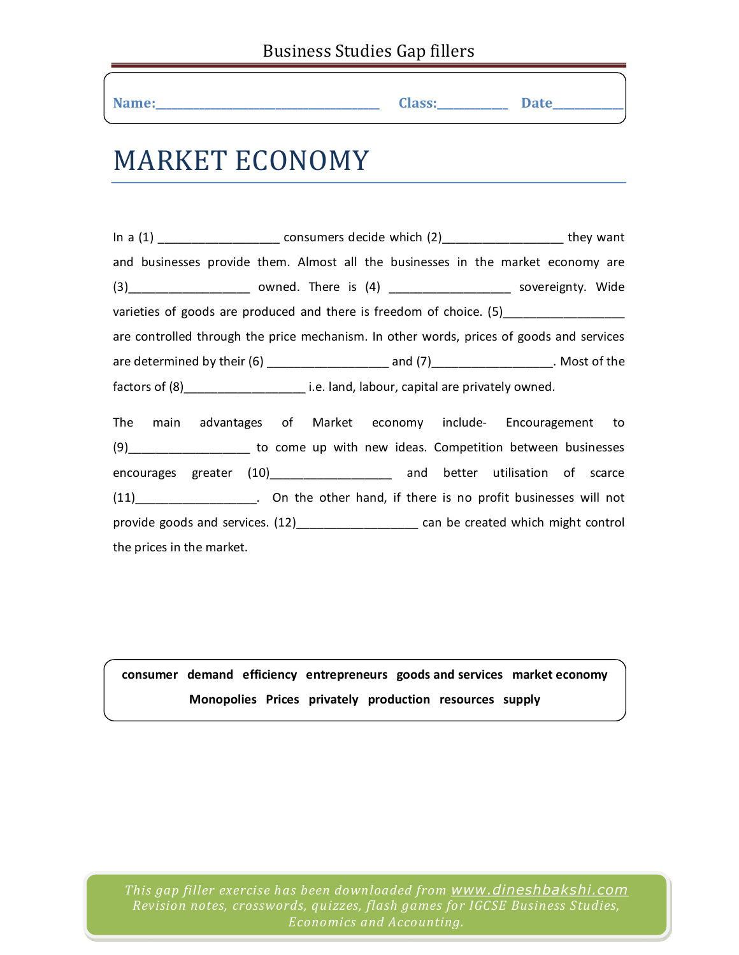| Name: | <b>Class:</b><br>__ | $\mathbf{P}$ ate<br>Dacc |  |
|-------|---------------------|--------------------------|--|
|-------|---------------------|--------------------------|--|

## MARKET ECONOMY

In a (1) \_\_\_\_\_\_\_\_\_\_\_\_\_\_\_\_\_\_\_\_\_\_\_\_ consumers decide which (2)\_\_\_\_\_\_\_\_\_\_\_\_\_\_\_\_\_\_\_\_\_\_\_\_\_ they want and businesses provide them. Almost all the businesses in the market economy are (3)\_\_\_\_\_\_\_\_\_\_\_\_\_\_\_\_\_\_ owned. There is (4) \_\_\_\_\_\_\_\_\_\_\_\_\_\_\_\_\_\_ sovereignty. Wide varieties of goods are produced and there is freedom of choice. (5) are controlled through the price mechanism. In other words, prices of goods and services are determined by their (6) \_\_\_\_\_\_\_\_\_\_\_\_\_\_\_\_\_\_ and (7)\_\_\_\_\_\_\_\_\_\_\_\_\_\_\_\_\_\_. Most of the factors of (8) The same i.e. land, labour, capital are privately owned. The main advantages of Market economy include‐ Encouragement to (9)\_\_\_\_\_\_\_\_\_\_\_\_\_\_\_\_\_\_ to come up with new ideas. Competition between businesses encourages greater (10) and better utilisation of scarce (11)\_\_\_\_\_\_\_\_\_\_\_\_\_\_\_\_\_\_. On the other hand, if there is no profit businesses will not provide goods and services. (12)\_\_\_\_\_\_\_\_\_\_\_\_\_\_\_\_\_\_\_\_\_ can be created which might control the prices in the market.

**consumer demand efficiency entrepreneurs goods and services market economy Monopolies Prices privately production resources supply**

*This gap filler exercise has been downloaded from www.dineshbakshi.com Revision notes, crosswords, quizzes, flash games for IGCSE Business Studies, Economics and Accounting.*